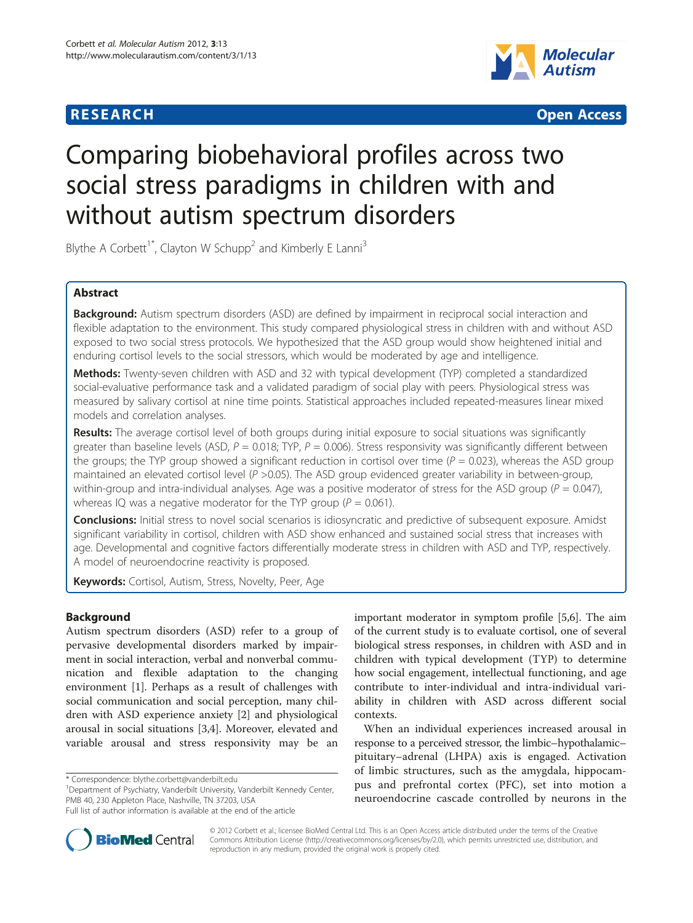

**RESEARCH RESEARCH** *CHECKER CHECKER CHECKER CHECKER CHECKER CHECKER CHECKER CHECKER CHECKER CHECKER* 

# Comparing biobehavioral profiles across two social stress paradigms in children with and without autism spectrum disorders

Blythe A Corbett<sup>1\*</sup>, Clayton W Schupp<sup>2</sup> and Kimberly E Lanni<sup>3</sup>

# Abstract

Background: Autism spectrum disorders (ASD) are defined by impairment in reciprocal social interaction and flexible adaptation to the environment. This study compared physiological stress in children with and without ASD exposed to two social stress protocols. We hypothesized that the ASD group would show heightened initial and enduring cortisol levels to the social stressors, which would be moderated by age and intelligence.

Methods: Twenty-seven children with ASD and 32 with typical development (TYP) completed a standardized social-evaluative performance task and a validated paradigm of social play with peers. Physiological stress was measured by salivary cortisol at nine time points. Statistical approaches included repeated-measures linear mixed models and correlation analyses.

Results: The average cortisol level of both groups during initial exposure to social situations was significantly greater than baseline levels (ASD,  $P = 0.018$ ; TYP,  $P = 0.006$ ). Stress responsivity was significantly different between the groups; the TYP group showed a significant reduction in cortisol over time ( $P = 0.023$ ), whereas the ASD group maintained an elevated cortisol level  $(P > 0.05)$ . The ASD group evidenced greater variability in between-group, within-group and intra-individual analyses. Age was a positive moderator of stress for the ASD group ( $P = 0.047$ ), whereas IQ was a negative moderator for the TYP group ( $P = 0.061$ ).

**Conclusions:** Initial stress to novel social scenarios is idiosyncratic and predictive of subsequent exposure. Amidst significant variability in cortisol, children with ASD show enhanced and sustained social stress that increases with age. Developmental and cognitive factors differentially moderate stress in children with ASD and TYP, respectively. A model of neuroendocrine reactivity is proposed.

Keywords: Cortisol, Autism, Stress, Novelty, Peer, Age

# Background

Autism spectrum disorders (ASD) refer to a group of pervasive developmental disorders marked by impairment in social interaction, verbal and nonverbal communication and flexible adaptation to the changing environment [\[1](#page-8-0)]. Perhaps as a result of challenges with social communication and social perception, many children with ASD experience anxiety [\[2](#page-8-0)] and physiological arousal in social situations [\[3,4](#page-8-0)]. Moreover, elevated and variable arousal and stress responsivity may be an

important moderator in symptom profile [[5,6\]](#page-8-0). The aim of the current study is to evaluate cortisol, one of several biological stress responses, in children with ASD and in children with typical development (TYP) to determine how social engagement, intellectual functioning, and age contribute to inter-individual and intra-individual variability in children with ASD across different social contexts.

When an individual experiences increased arousal in response to a perceived stressor, the limbic–hypothalamic– pituitary–adrenal (LHPA) axis is engaged. Activation of limbic structures, such as the amygdala, hippocampus and prefrontal cortex (PFC), set into motion a neuroendocrine cascade controlled by neurons in the



© 2012 Corbett et al.; licensee BioMed Central Ltd. This is an Open Access article distributed under the terms of the Creative Commons Attribution License [\(http://creativecommons.org/licenses/by/2.0\)](http://creativecommons.org/licenses/by/2.0), which permits unrestricted use, distribution, and reproduction in any medium, provided the original work is properly cited.

<sup>\*</sup> Correspondence: [blythe.corbett@vanderbilt.edu](mailto:blythe.corbett@vanderbilt.edu) <sup>1</sup>

<sup>&</sup>lt;sup>1</sup>Department of Psychiatry, Vanderbilt University, Vanderbilt Kennedy Center, PMB 40, 230 Appleton Place, Nashville, TN 37203, USA

Full list of author information is available at the end of the article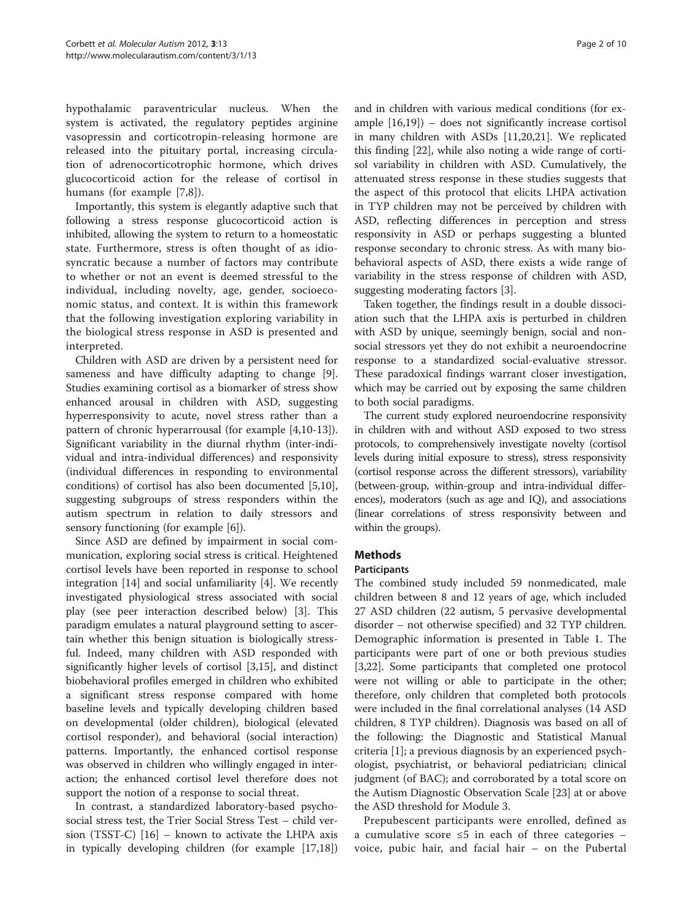hypothalamic paraventricular nucleus. When the system is activated, the regulatory peptides arginine vasopressin and corticotropin-releasing hormone are released into the pituitary portal, increasing circulation of adrenocorticotrophic hormone, which drives glucocorticoid action for the release of cortisol in humans (for example [\[7](#page-8-0),[8\]](#page-8-0)).

Importantly, this system is elegantly adaptive such that following a stress response glucocorticoid action is inhibited, allowing the system to return to a homeostatic state. Furthermore, stress is often thought of as idiosyncratic because a number of factors may contribute to whether or not an event is deemed stressful to the individual, including novelty, age, gender, socioeconomic status, and context. It is within this framework that the following investigation exploring variability in the biological stress response in ASD is presented and interpreted.

Children with ASD are driven by a persistent need for sameness and have difficulty adapting to change [\[9](#page-8-0)]. Studies examining cortisol as a biomarker of stress show enhanced arousal in children with ASD, suggesting hyperresponsivity to acute, novel stress rather than a pattern of chronic hyperarrousal (for example [[4,10-13](#page-8-0)]). Significant variability in the diurnal rhythm (inter-individual and intra-individual differences) and responsivity (individual differences in responding to environmental conditions) of cortisol has also been documented [\[5,10](#page-8-0)], suggesting subgroups of stress responders within the autism spectrum in relation to daily stressors and sensory functioning (for example [[6\]](#page-8-0)).

Since ASD are defined by impairment in social communication, exploring social stress is critical. Heightened cortisol levels have been reported in response to school integration [[14\]](#page-9-0) and social unfamiliarity [[4\]](#page-8-0). We recently investigated physiological stress associated with social play (see peer interaction described below) [\[3](#page-8-0)]. This paradigm emulates a natural playground setting to ascertain whether this benign situation is biologically stressful. Indeed, many children with ASD responded with significantly higher levels of cortisol [\[3](#page-8-0)[,15\]](#page-9-0), and distinct biobehavioral profiles emerged in children who exhibited a significant stress response compared with home baseline levels and typically developing children based on developmental (older children), biological (elevated cortisol responder), and behavioral (social interaction) patterns. Importantly, the enhanced cortisol response was observed in children who willingly engaged in interaction; the enhanced cortisol level therefore does not support the notion of a response to social threat.

In contrast, a standardized laboratory-based psychosocial stress test, the Trier Social Stress Test – child version (TSST-C) [[16\]](#page-9-0) – known to activate the LHPA axis in typically developing children (for example [\[17,18](#page-9-0)])

and in children with various medical conditions (for example [[16,19](#page-9-0)]) – does not significantly increase cortisol in many children with ASDs [[11,](#page-8-0)[20,21\]](#page-9-0). We replicated this finding [[22\]](#page-9-0), while also noting a wide range of cortisol variability in children with ASD. Cumulatively, the attenuated stress response in these studies suggests that the aspect of this protocol that elicits LHPA activation in TYP children may not be perceived by children with ASD, reflecting differences in perception and stress responsivity in ASD or perhaps suggesting a blunted response secondary to chronic stress. As with many biobehavioral aspects of ASD, there exists a wide range of variability in the stress response of children with ASD, suggesting moderating factors [[3\]](#page-8-0).

Taken together, the findings result in a double dissociation such that the LHPA axis is perturbed in children with ASD by unique, seemingly benign, social and nonsocial stressors yet they do not exhibit a neuroendocrine response to a standardized social-evaluative stressor. These paradoxical findings warrant closer investigation, which may be carried out by exposing the same children to both social paradigms.

The current study explored neuroendocrine responsivity in children with and without ASD exposed to two stress protocols, to comprehensively investigate novelty (cortisol levels during initial exposure to stress), stress responsivity (cortisol response across the different stressors), variability (between-group, within-group and intra-individual differences), moderators (such as age and IQ), and associations (linear correlations of stress responsivity between and within the groups).

# Methods

# **Participants**

The combined study included 59 nonmedicated, male children between 8 and 12 years of age, which included 27 ASD children (22 autism, 5 pervasive developmental disorder – not otherwise specified) and 32 TYP children. Demographic information is presented in Table [1.](#page-2-0) The participants were part of one or both previous studies [[3,](#page-8-0)[22\]](#page-9-0). Some participants that completed one protocol were not willing or able to participate in the other; therefore, only children that completed both protocols were included in the final correlational analyses (14 ASD children, 8 TYP children). Diagnosis was based on all of the following: the Diagnostic and Statistical Manual criteria [\[1](#page-8-0)]; a previous diagnosis by an experienced psychologist, psychiatrist, or behavioral pediatrician; clinical judgment (of BAC); and corroborated by a total score on the Autism Diagnostic Observation Scale [[23\]](#page-9-0) at or above the ASD threshold for Module 3.

Prepubescent participants were enrolled, defined as a cumulative score ≤5 in each of three categories – voice, pubic hair, and facial hair – on the Pubertal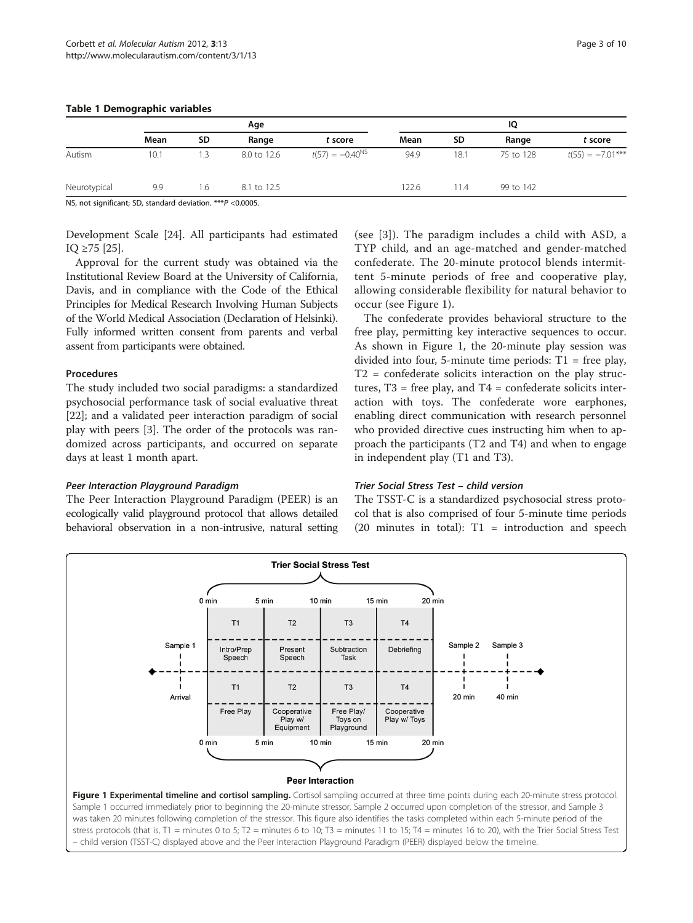#### <span id="page-2-0"></span>Table 1 Demographic variables

|              | Age  |           |             |                      | IQ    |           |           |                    |
|--------------|------|-----------|-------------|----------------------|-------|-----------|-----------|--------------------|
|              | Mean | <b>SD</b> | Range       | t score              | Mean  | <b>SD</b> | Range     | t score            |
| Autism       | 10.1 | 1.3       | 8.0 to 12.6 | $t(57) = -0.40^{N5}$ | 94.9  | 18.1      | 75 to 128 | $t(55) = -7.01***$ |
| Neurotypical | 9.9  | 1.6       | 8.1 to 12.5 |                      | 122.6 | 11.4      | 99 to 142 |                    |

NS, not significant; SD, standard deviation. \*\*\*P <0.0005.

Development Scale [[24\]](#page-9-0). All participants had estimated IQ ≥75 [\[25](#page-9-0)].

Approval for the current study was obtained via the Institutional Review Board at the University of California, Davis, and in compliance with the Code of the Ethical Principles for Medical Research Involving Human Subjects of the World Medical Association (Declaration of Helsinki). Fully informed written consent from parents and verbal assent from participants were obtained.

#### Procedures

The study included two social paradigms: a standardized psychosocial performance task of social evaluative threat [[22\]](#page-9-0); and a validated peer interaction paradigm of social play with peers [\[3](#page-8-0)]. The order of the protocols was randomized across participants, and occurred on separate days at least 1 month apart.

#### Peer Interaction Playground Paradigm

The Peer Interaction Playground Paradigm (PEER) is an ecologically valid playground protocol that allows detailed behavioral observation in a non-intrusive, natural setting (see [[3\]](#page-8-0)). The paradigm includes a child with ASD, a TYP child, and an age-matched and gender-matched confederate. The 20-minute protocol blends intermittent 5-minute periods of free and cooperative play, allowing considerable flexibility for natural behavior to occur (see Figure 1).

The confederate provides behavioral structure to the free play, permitting key interactive sequences to occur. As shown in Figure 1, the 20-minute play session was divided into four, 5-minute time periods: T1 = free play, T2 = confederate solicits interaction on the play structures,  $T3$  = free play, and  $T4$  = confederate solicits interaction with toys. The confederate wore earphones, enabling direct communication with research personnel who provided directive cues instructing him when to approach the participants (T2 and T4) and when to engage in independent play (T1 and T3).

#### Trier Social Stress Test – child version

The TSST-C is a standardized psychosocial stress protocol that is also comprised of four 5-minute time periods (20 minutes in total):  $T1 =$  introduction and speech

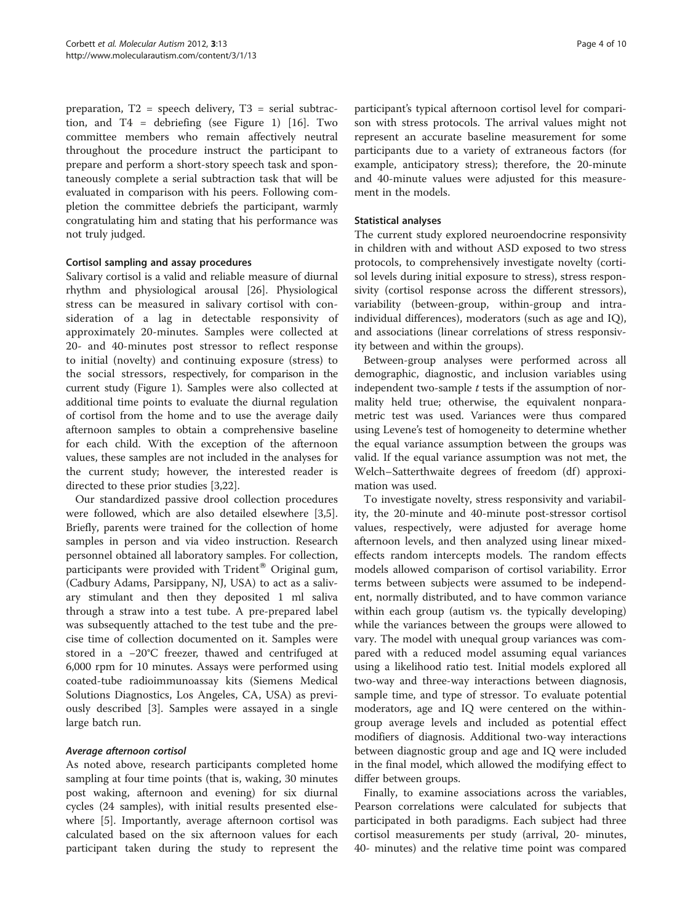preparation, T2 = speech delivery, T3 = serial subtraction, and  $T4 =$  debriefing (see Figure [1](#page-2-0)) [[16\]](#page-9-0). Two committee members who remain affectively neutral throughout the procedure instruct the participant to prepare and perform a short-story speech task and spontaneously complete a serial subtraction task that will be evaluated in comparison with his peers. Following completion the committee debriefs the participant, warmly congratulating him and stating that his performance was not truly judged.

# Cortisol sampling and assay procedures

Salivary cortisol is a valid and reliable measure of diurnal rhythm and physiological arousal [\[26](#page-9-0)]. Physiological stress can be measured in salivary cortisol with consideration of a lag in detectable responsivity of approximately 20-minutes. Samples were collected at 20- and 40-minutes post stressor to reflect response to initial (novelty) and continuing exposure (stress) to the social stressors, respectively, for comparison in the current study (Figure [1\)](#page-2-0). Samples were also collected at additional time points to evaluate the diurnal regulation of cortisol from the home and to use the average daily afternoon samples to obtain a comprehensive baseline for each child. With the exception of the afternoon values, these samples are not included in the analyses for the current study; however, the interested reader is directed to these prior studies [\[3,](#page-8-0)[22\]](#page-9-0).

Our standardized passive drool collection procedures were followed, which are also detailed elsewhere [\[3,5](#page-8-0)]. Briefly, parents were trained for the collection of home samples in person and via video instruction. Research personnel obtained all laboratory samples. For collection, participants were provided with  $Trident^{\circledR}$  Original gum, (Cadbury Adams, Parsippany, NJ, USA) to act as a salivary stimulant and then they deposited 1 ml saliva through a straw into a test tube. A pre-prepared label was subsequently attached to the test tube and the precise time of collection documented on it. Samples were stored in a −20°C freezer, thawed and centrifuged at 6,000 rpm for 10 minutes. Assays were performed using coated-tube radioimmunoassay kits (Siemens Medical Solutions Diagnostics, Los Angeles, CA, USA) as previously described [\[3](#page-8-0)]. Samples were assayed in a single large batch run.

# Average afternoon cortisol

As noted above, research participants completed home sampling at four time points (that is, waking, 30 minutes post waking, afternoon and evening) for six diurnal cycles (24 samples), with initial results presented elsewhere [\[5](#page-8-0)]. Importantly, average afternoon cortisol was calculated based on the six afternoon values for each participant taken during the study to represent the participant's typical afternoon cortisol level for comparison with stress protocols. The arrival values might not represent an accurate baseline measurement for some participants due to a variety of extraneous factors (for example, anticipatory stress); therefore, the 20-minute and 40-minute values were adjusted for this measurement in the models.

### Statistical analyses

The current study explored neuroendocrine responsivity in children with and without ASD exposed to two stress protocols, to comprehensively investigate novelty (cortisol levels during initial exposure to stress), stress responsivity (cortisol response across the different stressors), variability (between-group, within-group and intraindividual differences), moderators (such as age and IQ), and associations (linear correlations of stress responsivity between and within the groups).

Between-group analyses were performed across all demographic, diagnostic, and inclusion variables using independent two-sample  $t$  tests if the assumption of normality held true; otherwise, the equivalent nonparametric test was used. Variances were thus compared using Levene's test of homogeneity to determine whether the equal variance assumption between the groups was valid. If the equal variance assumption was not met, the Welch–Satterthwaite degrees of freedom (df) approximation was used.

To investigate novelty, stress responsivity and variability, the 20-minute and 40-minute post-stressor cortisol values, respectively, were adjusted for average home afternoon levels, and then analyzed using linear mixedeffects random intercepts models. The random effects models allowed comparison of cortisol variability. Error terms between subjects were assumed to be independent, normally distributed, and to have common variance within each group (autism vs. the typically developing) while the variances between the groups were allowed to vary. The model with unequal group variances was compared with a reduced model assuming equal variances using a likelihood ratio test. Initial models explored all two-way and three-way interactions between diagnosis, sample time, and type of stressor. To evaluate potential moderators, age and IQ were centered on the withingroup average levels and included as potential effect modifiers of diagnosis. Additional two-way interactions between diagnostic group and age and IQ were included in the final model, which allowed the modifying effect to differ between groups.

Finally, to examine associations across the variables, Pearson correlations were calculated for subjects that participated in both paradigms. Each subject had three cortisol measurements per study (arrival, 20- minutes, 40- minutes) and the relative time point was compared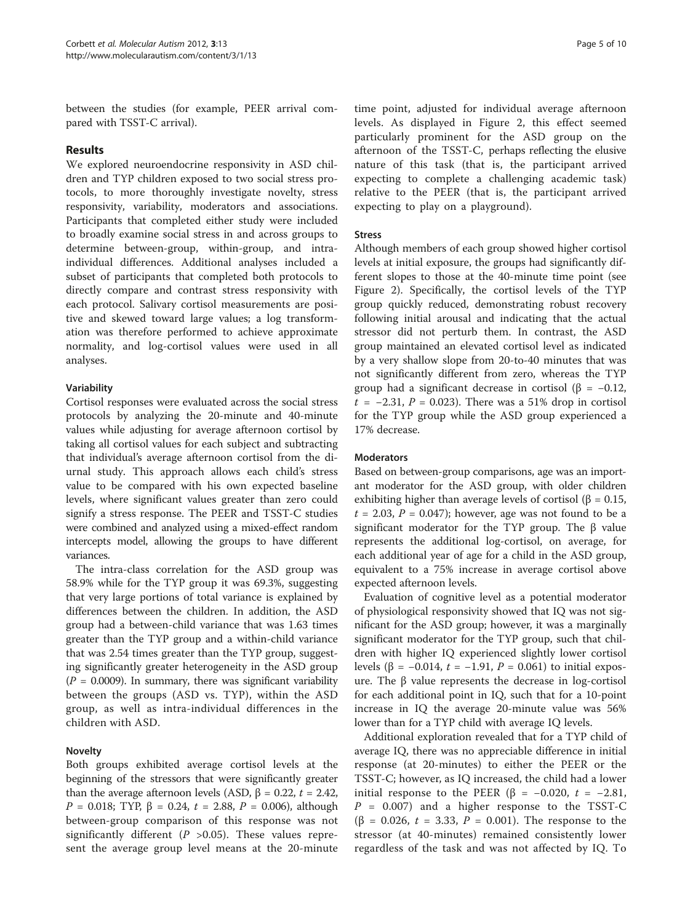between the studies (for example, PEER arrival compared with TSST-C arrival).

# Results

We explored neuroendocrine responsivity in ASD children and TYP children exposed to two social stress protocols, to more thoroughly investigate novelty, stress responsivity, variability, moderators and associations. Participants that completed either study were included to broadly examine social stress in and across groups to determine between-group, within-group, and intraindividual differences. Additional analyses included a subset of participants that completed both protocols to directly compare and contrast stress responsivity with each protocol. Salivary cortisol measurements are positive and skewed toward large values; a log transformation was therefore performed to achieve approximate normality, and log-cortisol values were used in all analyses.

### Variability

Cortisol responses were evaluated across the social stress protocols by analyzing the 20-minute and 40-minute values while adjusting for average afternoon cortisol by taking all cortisol values for each subject and subtracting that individual's average afternoon cortisol from the diurnal study. This approach allows each child's stress value to be compared with his own expected baseline levels, where significant values greater than zero could signify a stress response. The PEER and TSST-C studies were combined and analyzed using a mixed-effect random intercepts model, allowing the groups to have different variances.

The intra-class correlation for the ASD group was 58.9% while for the TYP group it was 69.3%, suggesting that very large portions of total variance is explained by differences between the children. In addition, the ASD group had a between-child variance that was 1.63 times greater than the TYP group and a within-child variance that was 2.54 times greater than the TYP group, suggesting significantly greater heterogeneity in the ASD group  $(P = 0.0009)$ . In summary, there was significant variability between the groups (ASD vs. TYP), within the ASD group, as well as intra-individual differences in the children with ASD.

# Novelty

Both groups exhibited average cortisol levels at the beginning of the stressors that were significantly greater than the average afternoon levels (ASD, β = 0.22,  $t = 2.42$ ,  $P = 0.018$ ; TYP, β = 0.24, t = 2.88, P = 0.006), although between-group comparison of this response was not significantly different ( $P > 0.05$ ). These values represent the average group level means at the 20-minute

time point, adjusted for individual average afternoon levels. As displayed in Figure [2](#page-5-0), this effect seemed particularly prominent for the ASD group on the afternoon of the TSST-C, perhaps reflecting the elusive nature of this task (that is, the participant arrived expecting to complete a challenging academic task) relative to the PEER (that is, the participant arrived expecting to play on a playground).

#### Stress

Although members of each group showed higher cortisol levels at initial exposure, the groups had significantly different slopes to those at the 40-minute time point (see Figure [2](#page-5-0)). Specifically, the cortisol levels of the TYP group quickly reduced, demonstrating robust recovery following initial arousal and indicating that the actual stressor did not perturb them. In contrast, the ASD group maintained an elevated cortisol level as indicated by a very shallow slope from 20-to-40 minutes that was not significantly different from zero, whereas the TYP group had a significant decrease in cortisol ( $\beta = -0.12$ ,  $t = -2.31, P = 0.023$ ). There was a 51% drop in cortisol for the TYP group while the ASD group experienced a 17% decrease.

#### **Moderators**

Based on between-group comparisons, age was an important moderator for the ASD group, with older children exhibiting higher than average levels of cortisol ( $\beta = 0.15$ ,  $t = 2.03$ ,  $P = 0.047$ ; however, age was not found to be a significant moderator for the TYP group. The β value represents the additional log-cortisol, on average, for each additional year of age for a child in the ASD group, equivalent to a 75% increase in average cortisol above expected afternoon levels.

Evaluation of cognitive level as a potential moderator of physiological responsivity showed that IQ was not significant for the ASD group; however, it was a marginally significant moderator for the TYP group, such that children with higher IQ experienced slightly lower cortisol levels (β = -0.014, t = -1.91, P = 0.061) to initial exposure. The  $β$  value represents the decrease in log-cortisol for each additional point in IQ, such that for a 10-point increase in IQ the average 20-minute value was 56% lower than for a TYP child with average IQ levels.

Additional exploration revealed that for a TYP child of average IQ, there was no appreciable difference in initial response (at 20-minutes) to either the PEER or the TSST-C; however, as IQ increased, the child had a lower initial response to the PEER (β = -0.020, t = -2.81,  $P = 0.007$ ) and a higher response to the TSST-C  $(\beta = 0.026, t = 3.33, P = 0.001)$ . The response to the stressor (at 40-minutes) remained consistently lower regardless of the task and was not affected by IQ. To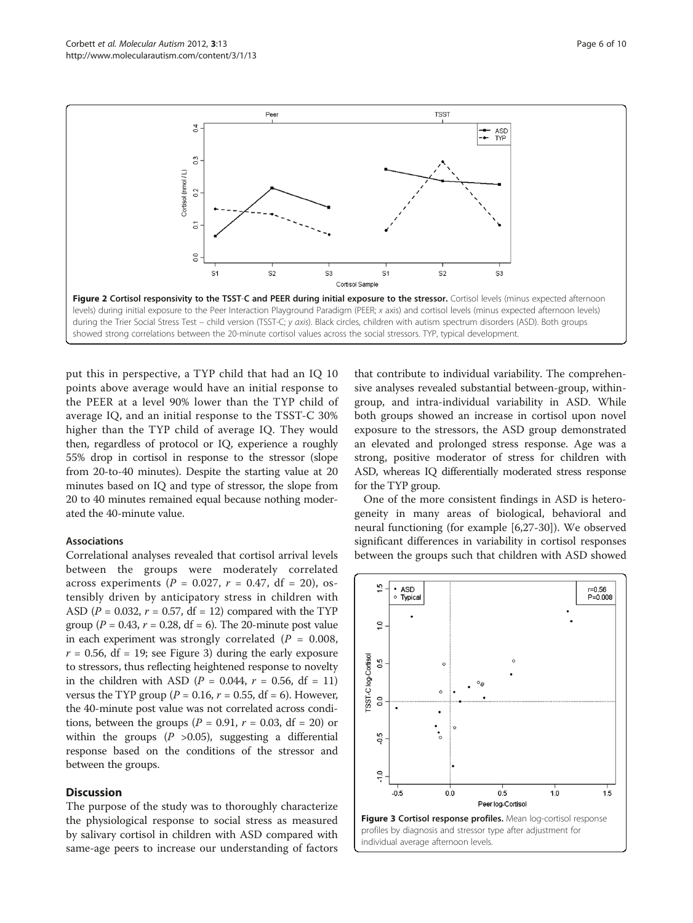<span id="page-5-0"></span>

put this in perspective, a TYP child that had an IQ 10 points above average would have an initial response to the PEER at a level 90% lower than the TYP child of average IQ, and an initial response to the TSST-C 30% higher than the TYP child of average IQ. They would then, regardless of protocol or IQ, experience a roughly 55% drop in cortisol in response to the stressor (slope from 20-to-40 minutes). Despite the starting value at 20 minutes based on IQ and type of stressor, the slope from 20 to 40 minutes remained equal because nothing moderated the 40-minute value.

## Associations

Correlational analyses revealed that cortisol arrival levels between the groups were moderately correlated across experiments ( $P = 0.027$ ,  $r = 0.47$ , df = 20), ostensibly driven by anticipatory stress in children with ASD ( $P = 0.032$ ,  $r = 0.57$ , df = 12) compared with the TYP group ( $P = 0.43$ ,  $r = 0.28$ , df = 6). The 20-minute post value in each experiment was strongly correlated ( $P = 0.008$ ,  $r = 0.56$ , df = 19; see Figure 3) during the early exposure to stressors, thus reflecting heightened response to novelty in the children with ASD ( $P = 0.044$ ,  $r = 0.56$ , df = 11) versus the TYP group ( $P = 0.16$ ,  $r = 0.55$ , df = 6). However, the 40-minute post value was not correlated across conditions, between the groups ( $P = 0.91$ ,  $r = 0.03$ , df = 20) or within the groups ( $P > 0.05$ ), suggesting a differential response based on the conditions of the stressor and between the groups.

#### **Discussion**

The purpose of the study was to thoroughly characterize the physiological response to social stress as measured by salivary cortisol in children with ASD compared with same-age peers to increase our understanding of factors

that contribute to individual variability. The comprehensive analyses revealed substantial between-group, withingroup, and intra-individual variability in ASD. While both groups showed an increase in cortisol upon novel exposure to the stressors, the ASD group demonstrated an elevated and prolonged stress response. Age was a strong, positive moderator of stress for children with ASD, whereas IQ differentially moderated stress response for the TYP group.

One of the more consistent findings in ASD is heterogeneity in many areas of biological, behavioral and neural functioning (for example [\[6](#page-8-0),[27](#page-9-0)-[30\]](#page-9-0)). We observed significant differences in variability in cortisol responses between the groups such that children with ASD showed

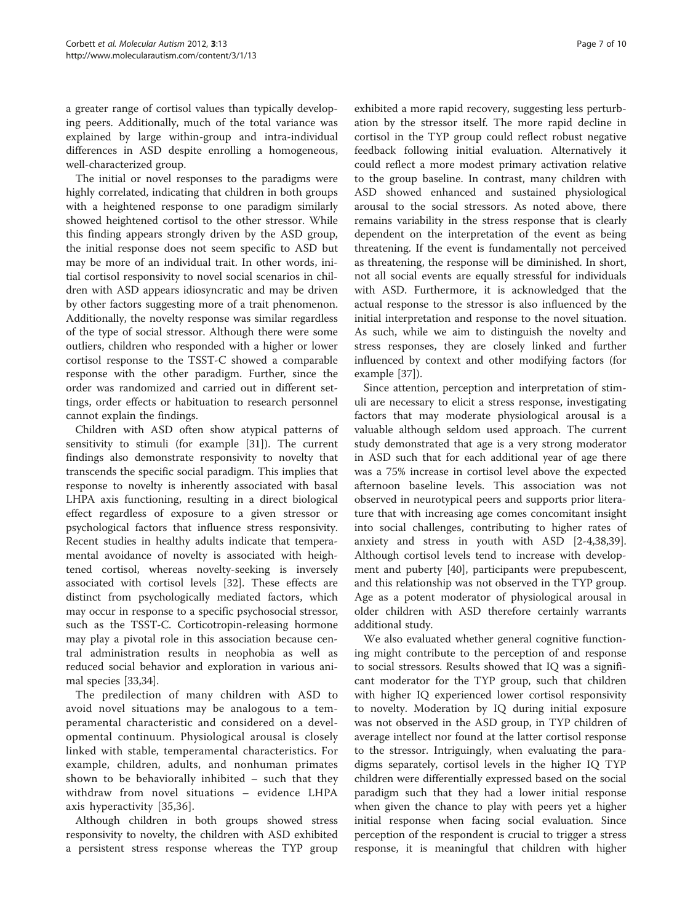a greater range of cortisol values than typically developing peers. Additionally, much of the total variance was explained by large within-group and intra-individual differences in ASD despite enrolling a homogeneous, well-characterized group.

The initial or novel responses to the paradigms were highly correlated, indicating that children in both groups with a heightened response to one paradigm similarly showed heightened cortisol to the other stressor. While this finding appears strongly driven by the ASD group, the initial response does not seem specific to ASD but may be more of an individual trait. In other words, initial cortisol responsivity to novel social scenarios in children with ASD appears idiosyncratic and may be driven by other factors suggesting more of a trait phenomenon. Additionally, the novelty response was similar regardless of the type of social stressor. Although there were some outliers, children who responded with a higher or lower cortisol response to the TSST-C showed a comparable response with the other paradigm. Further, since the order was randomized and carried out in different settings, order effects or habituation to research personnel cannot explain the findings.

Children with ASD often show atypical patterns of sensitivity to stimuli (for example [\[31](#page-9-0)]). The current findings also demonstrate responsivity to novelty that transcends the specific social paradigm. This implies that response to novelty is inherently associated with basal LHPA axis functioning, resulting in a direct biological effect regardless of exposure to a given stressor or psychological factors that influence stress responsivity. Recent studies in healthy adults indicate that temperamental avoidance of novelty is associated with heightened cortisol, whereas novelty-seeking is inversely associated with cortisol levels [\[32\]](#page-9-0). These effects are distinct from psychologically mediated factors, which may occur in response to a specific psychosocial stressor, such as the TSST-C. Corticotropin-releasing hormone may play a pivotal role in this association because central administration results in neophobia as well as reduced social behavior and exploration in various animal species [[33,34](#page-9-0)].

The predilection of many children with ASD to avoid novel situations may be analogous to a temperamental characteristic and considered on a developmental continuum. Physiological arousal is closely linked with stable, temperamental characteristics. For example, children, adults, and nonhuman primates shown to be behaviorally inhibited – such that they withdraw from novel situations – evidence LHPA axis hyperactivity [[35,36\]](#page-9-0).

Although children in both groups showed stress responsivity to novelty, the children with ASD exhibited a persistent stress response whereas the TYP group

exhibited a more rapid recovery, suggesting less perturbation by the stressor itself. The more rapid decline in cortisol in the TYP group could reflect robust negative feedback following initial evaluation. Alternatively it could reflect a more modest primary activation relative to the group baseline. In contrast, many children with ASD showed enhanced and sustained physiological arousal to the social stressors. As noted above, there remains variability in the stress response that is clearly dependent on the interpretation of the event as being threatening. If the event is fundamentally not perceived as threatening, the response will be diminished. In short, not all social events are equally stressful for individuals with ASD. Furthermore, it is acknowledged that the actual response to the stressor is also influenced by the initial interpretation and response to the novel situation. As such, while we aim to distinguish the novelty and stress responses, they are closely linked and further influenced by context and other modifying factors (for example [[37\]](#page-9-0)).

Since attention, perception and interpretation of stimuli are necessary to elicit a stress response, investigating factors that may moderate physiological arousal is a valuable although seldom used approach. The current study demonstrated that age is a very strong moderator in ASD such that for each additional year of age there was a 75% increase in cortisol level above the expected afternoon baseline levels. This association was not observed in neurotypical peers and supports prior literature that with increasing age comes concomitant insight into social challenges, contributing to higher rates of anxiety and stress in youth with ASD [[2-4](#page-8-0)[,38,39](#page-9-0)]. Although cortisol levels tend to increase with development and puberty [\[40](#page-9-0)], participants were prepubescent, and this relationship was not observed in the TYP group. Age as a potent moderator of physiological arousal in older children with ASD therefore certainly warrants additional study.

We also evaluated whether general cognitive functioning might contribute to the perception of and response to social stressors. Results showed that IQ was a significant moderator for the TYP group, such that children with higher IQ experienced lower cortisol responsivity to novelty. Moderation by IQ during initial exposure was not observed in the ASD group, in TYP children of average intellect nor found at the latter cortisol response to the stressor. Intriguingly, when evaluating the paradigms separately, cortisol levels in the higher IQ TYP children were differentially expressed based on the social paradigm such that they had a lower initial response when given the chance to play with peers yet a higher initial response when facing social evaluation. Since perception of the respondent is crucial to trigger a stress response, it is meaningful that children with higher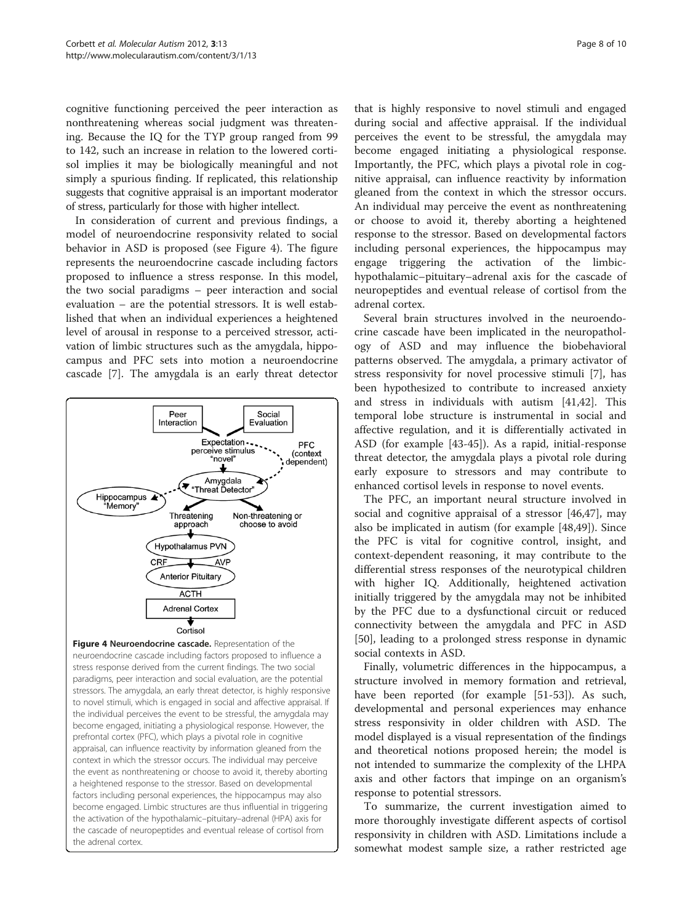cognitive functioning perceived the peer interaction as nonthreatening whereas social judgment was threatening. Because the IQ for the TYP group ranged from 99 to 142, such an increase in relation to the lowered cortisol implies it may be biologically meaningful and not simply a spurious finding. If replicated, this relationship suggests that cognitive appraisal is an important moderator of stress, particularly for those with higher intellect.

In consideration of current and previous findings, a model of neuroendocrine responsivity related to social behavior in ASD is proposed (see Figure 4). The figure represents the neuroendocrine cascade including factors proposed to influence a stress response. In this model, the two social paradigms – peer interaction and social evaluation – are the potential stressors. It is well established that when an individual experiences a heightened level of arousal in response to a perceived stressor, activation of limbic structures such as the amygdala, hippocampus and PFC sets into motion a neuroendocrine cascade [\[7](#page-8-0)]. The amygdala is an early threat detector



Figure 4 Neuroendocrine cascade. Representation of the neuroendocrine cascade including factors proposed to influence a stress response derived from the current findings. The two social paradigms, peer interaction and social evaluation, are the potential stressors. The amygdala, an early threat detector, is highly responsive to novel stimuli, which is engaged in social and affective appraisal. If the individual perceives the event to be stressful, the amygdala may become engaged, initiating a physiological response. However, the prefrontal cortex (PFC), which plays a pivotal role in cognitive appraisal, can influence reactivity by information gleaned from the context in which the stressor occurs. The individual may perceive the event as nonthreatening or choose to avoid it, thereby aborting a heightened response to the stressor. Based on developmental factors including personal experiences, the hippocampus may also become engaged. Limbic structures are thus influential in triggering the activation of the hypothalamic–pituitary–adrenal (HPA) axis for the cascade of neuropeptides and eventual release of cortisol from the adrenal cortex.

that is highly responsive to novel stimuli and engaged during social and affective appraisal. If the individual perceives the event to be stressful, the amygdala may become engaged initiating a physiological response. Importantly, the PFC, which plays a pivotal role in cognitive appraisal, can influence reactivity by information gleaned from the context in which the stressor occurs. An individual may perceive the event as nonthreatening or choose to avoid it, thereby aborting a heightened response to the stressor. Based on developmental factors including personal experiences, the hippocampus may engage triggering the activation of the limbichypothalamic–pituitary–adrenal axis for the cascade of neuropeptides and eventual release of cortisol from the adrenal cortex.

Several brain structures involved in the neuroendocrine cascade have been implicated in the neuropathology of ASD and may influence the biobehavioral patterns observed. The amygdala, a primary activator of stress responsivity for novel processive stimuli [\[7](#page-8-0)], has been hypothesized to contribute to increased anxiety and stress in individuals with autism [\[41,42\]](#page-9-0). This temporal lobe structure is instrumental in social and affective regulation, and it is differentially activated in ASD (for example [[43-45\]](#page-9-0)). As a rapid, initial-response threat detector, the amygdala plays a pivotal role during early exposure to stressors and may contribute to enhanced cortisol levels in response to novel events.

The PFC, an important neural structure involved in social and cognitive appraisal of a stressor [[46,47](#page-9-0)], may also be implicated in autism (for example [\[48,49](#page-9-0)]). Since the PFC is vital for cognitive control, insight, and context-dependent reasoning, it may contribute to the differential stress responses of the neurotypical children with higher IQ. Additionally, heightened activation initially triggered by the amygdala may not be inhibited by the PFC due to a dysfunctional circuit or reduced connectivity between the amygdala and PFC in ASD [[50\]](#page-9-0), leading to a prolonged stress response in dynamic social contexts in ASD.

Finally, volumetric differences in the hippocampus, a structure involved in memory formation and retrieval, have been reported (for example [\[51-53](#page-9-0)]). As such, developmental and personal experiences may enhance stress responsivity in older children with ASD. The model displayed is a visual representation of the findings and theoretical notions proposed herein; the model is not intended to summarize the complexity of the LHPA axis and other factors that impinge on an organism's response to potential stressors.

To summarize, the current investigation aimed to more thoroughly investigate different aspects of cortisol responsivity in children with ASD. Limitations include a somewhat modest sample size, a rather restricted age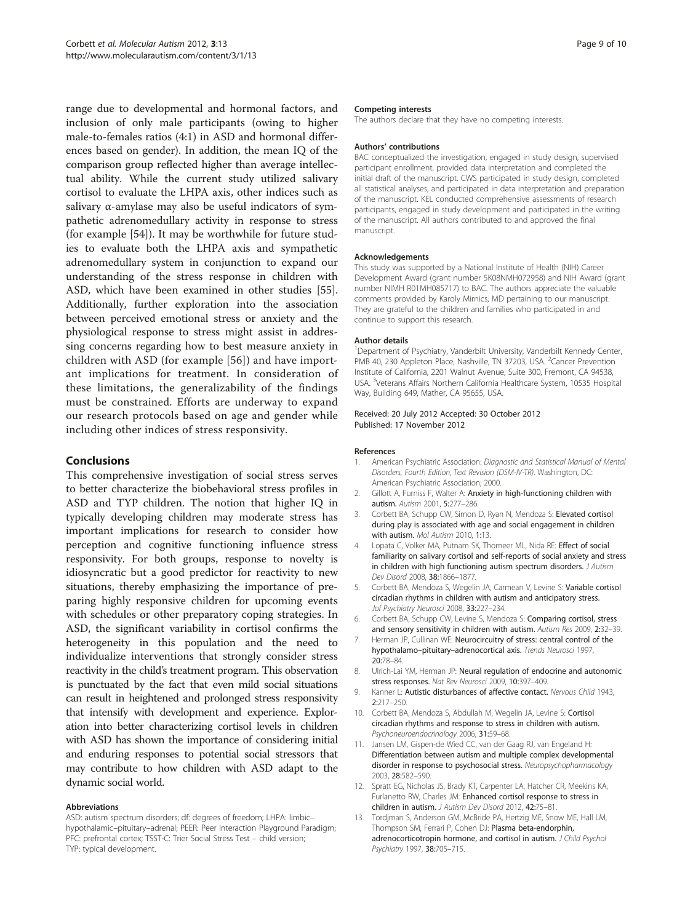<span id="page-8-0"></span>range due to developmental and hormonal factors, and inclusion of only male participants (owing to higher male-to-females ratios (4:1) in ASD and hormonal differences based on gender). In addition, the mean IQ of the comparison group reflected higher than average intellectual ability. While the current study utilized salivary cortisol to evaluate the LHPA axis, other indices such as salivary α-amylase may also be useful indicators of sympathetic adrenomedullary activity in response to stress (for example [[54\]](#page-9-0)). It may be worthwhile for future studies to evaluate both the LHPA axis and sympathetic adrenomedullary system in conjunction to expand our understanding of the stress response in children with ASD, which have been examined in other studies [\[55](#page-9-0)]. Additionally, further exploration into the association between perceived emotional stress or anxiety and the physiological response to stress might assist in addressing concerns regarding how to best measure anxiety in children with ASD (for example [[56](#page-9-0)]) and have important implications for treatment. In consideration of these limitations, the generalizability of the findings must be constrained. Efforts are underway to expand our research protocols based on age and gender while including other indices of stress responsivity.

# Conclusions

This comprehensive investigation of social stress serves to better characterize the biobehavioral stress profiles in ASD and TYP children. The notion that higher IQ in typically developing children may moderate stress has important implications for research to consider how perception and cognitive functioning influence stress responsivity. For both groups, response to novelty is idiosyncratic but a good predictor for reactivity to new situations, thereby emphasizing the importance of preparing highly responsive children for upcoming events with schedules or other preparatory coping strategies. In ASD, the significant variability in cortisol confirms the heterogeneity in this population and the need to individualize interventions that strongly consider stress reactivity in the child's treatment program. This observation is punctuated by the fact that even mild social situations can result in heightened and prolonged stress responsivity that intensify with development and experience. Exploration into better characterizing cortisol levels in children with ASD has shown the importance of considering initial and enduring responses to potential social stressors that may contribute to how children with ASD adapt to the dynamic social world.

#### Abbreviations

ASD: autism spectrum disorders; df: degrees of freedom; LHPA: limbic– hypothalamic–pituitary–adrenal; PEER: Peer Interaction Playground Paradigm; PFC: prefrontal cortex; TSST-C: Trier Social Stress Test – child version; TYP: typical development.

#### Competing interests

The authors declare that they have no competing interests.

#### Authors' contributions

BAC conceptualized the investigation, engaged in study design, supervised participant enrollment, provided data interpretation and completed the initial draft of the manuscript. CWS participated in study design, completed all statistical analyses, and participated in data interpretation and preparation of the manuscript. KEL conducted comprehensive assessments of research participants, engaged in study development and participated in the writing of the manuscript. All authors contributed to and approved the final manuscript.

#### Acknowledgements

This study was supported by a National Institute of Health (NIH) Career Development Award (grant number 5K08NMH072958) and NIH Award (grant number NIMH R01MH085717) to BAC. The authors appreciate the valuable comments provided by Karoly Mirnics, MD pertaining to our manuscript. They are grateful to the children and families who participated in and continue to support this research.

#### Author details

<sup>1</sup>Department of Psychiatry, Vanderbilt University, Vanderbilt Kennedy Center, PMB 40, 230 Appleton Place, Nashville, TN 37203, USA. <sup>2</sup>Cancer Prevention Institute of California, 2201 Walnut Avenue, Suite 300, Fremont, CA 94538, USA. <sup>3</sup>Veterans Affairs Northern California Healthcare System, 10535 Hospital Way, Building 649, Mather, CA 95655, USA.

#### Received: 20 July 2012 Accepted: 30 October 2012 Published: 17 November 2012

#### References

- 1. American Psychiatric Association: Diagnostic and Statistical Manual of Mental Disorders, Fourth Edition, Text Revision (DSM-IV-TR). Washington, DC: American Psychiatric Association; 2000.
- 2. Gillott A, Furniss F, Walter A: Anxiety in high-functioning children with autism. Autism 2001, 5:277–286.
- 3. Corbett BA, Schupp CW, Simon D, Ryan N, Mendoza S: Elevated cortisol during play is associated with age and social engagement in children with autism. Mol Autism 2010, 1:13.
- 4. Lopata C, Volker MA, Putnam SK, Thomeer ML, Nida RF: Effect of social familiarity on salivary cortisol and self-reports of social anxiety and stress in children with high functioning autism spectrum disorders. J Autism Dev Disord 2008, 38:1866–1877.
- 5. Corbett BA, Mendoza S, Wegelin JA, Carmean V, Levine S: Variable cortisol circadian rhythms in children with autism and anticipatory stress. Jof Psychiatry Neurosci 2008, 33:227-234
- Corbett BA, Schupp CW, Levine S, Mendoza S: Comparing cortisol, stress and sensory sensitivity in children with autism. Autism Res 2009, 2:32–39.
- 7. Herman JP, Cullinan WE: Neurocircuitry of stress: central control of the hypothalamo–pituitary–adrenocortical axis. Trends Neurosci 1997, 20:78–84.
- 8. Ulrich-Lai YM, Herman JP: Neural regulation of endocrine and autonomic stress responses. Nat Rev Neurosci 2009, 10:397–409.
- 9. Kanner L: Autistic disturbances of affective contact. Nervous Child 1943, 2:217–250.
- 10. Corbett BA, Mendoza S, Abdullah M, Wegelin JA, Levine S: Cortisol circadian rhythms and response to stress in children with autism. Psychoneuroendocrinology 2006, 31:59–68.
- 11. Jansen LM, Gispen-de Wied CC, van der Gaag RJ, van Engeland H: Differentiation between autism and multiple complex developmental disorder in response to psychosocial stress. Neuropsychopharmacology 2003, 28:582–590.
- 12. Spratt EG, Nicholas JS, Brady KT, Carpenter LA, Hatcher CR, Meekins KA, Furlanetto RW, Charles JM: Enhanced cortisol response to stress in children in autism. J Autism Dev Disord 2012, 42:75–81.
- 13. Tordjman S, Anderson GM, McBride PA, Hertzig ME, Snow ME, Hall LM, Thompson SM, Ferrari P, Cohen DJ: Plasma beta-endorphin, adrenocorticotropin hormone, and cortisol in autism. J Child Psychol Psychiatry 1997, 38:705–715.